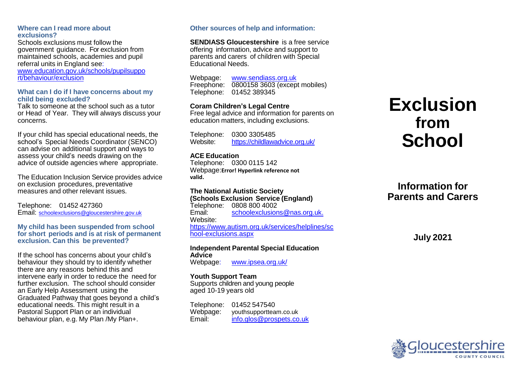#### **Where can I read more about exclusions?**

Schools exclusions must follow the government guidance. For exclusion from maintained schools, academies and pupil referral units in England see: www.education.gov.uk/schools/pupilsuppo rt/behavio[ur/exclusion](http://www.education.gov.uk/schools/pupilsupport/behaviour/exclusion)

#### **What can I do if I have concerns about my child being excluded?**

Talk to someone at the school such as a tutor or Head of Year. They will always discuss your concerns.

If your child has special educational needs, the school's Special Needs Coordinator (SENCO) can advise on additional support and ways to assess your child's needs drawing on the advice of outside agencies where appropriate.

The Education Inclusion Service provides advice on exclusion procedures, preventative measures and other relevant issues.

Telephone: 01452 427360 Email: [schoolexclusions@gloucestershire.gov.uk](mailto:schoolexclusions@gloucestershire.gov.uk)

#### **My child has been suspended from school for short periods and is at risk of permanent exclusion. Can this be prevented?**

If the school has concerns about your child's behaviour they should try to identify whether there are any reasons behind this and intervene early in order to reduce the need for further exclusion. The school should consider an Early Help Assessment using the Graduated Pathway that goes beyond a child's educational needs. This might result in a Pastoral Support Plan or an individual behaviour plan, e.g. My Plan /My Plan+.

#### **Other sources of help and information:**

**SENDIASS Gloucestershire** is a free service

offering information, advice and support to parents and carers of children with Special Educational Needs.

Webpage: [www.sendiass.org.uk](http://www.sendiass.org.uk/)  Freephone: 0800158 3603 (except mobiles) Telephone: 01452 389345

#### **Coram Children's Legal Centre**

Free legal advice and information for parents on education matters, including exclusions.

Telephone: 0300 3305485 Website: <https://childlawadvice.org.uk/>

#### **ACE Education**

Telephone: 0300 0115 142 Webpage:**Error! Hyperlink reference not valid.**

## **The National Autistic Society**

**(Schools Exclusion Service (England)** Telephone: 0808 800 4002<br>Email: schoolexclusion [schoolexclusions@nas.org.uk.](mailto:schoolexclusions@nas.org.uk.) Website: [https://www.autism.org.uk/services/helplines/sc](https://www.autism.org.uk/services/helplines/school-exclusions.aspx) [hool-exclusions.aspx](https://www.autism.org.uk/services/helplines/school-exclusions.aspx)

### **Independent Parental Special Education Advice**

Webpage: [www.ipsea.org.uk/](http://Webpage:%09www.ipsea.org.uk/)

#### **Youth Support Team**

Supports children and young people aged 10-19 years old

| Telephone: | 01452 547540             |
|------------|--------------------------|
| Webpage:   | youthsupportteam.co.uk   |
| Email:     | info.glos@prospets.co.uk |

# **Exclusion from School**

# **Information for Parents and Carers**

**July 2021**